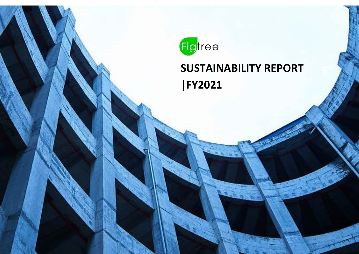

# **SUSTAINABILITY REPORT |FY2021**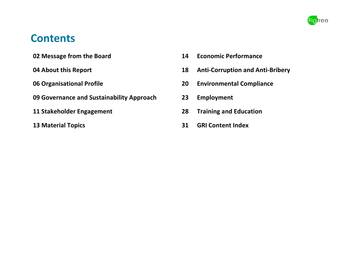

## **Contents**

**02 Message from the Board 14 Economic Performance**

- 
- **09 Governance and Sustainability Approach 23 Employment**
- 
- 
- 
- **04 About this Report 18 Anti-Corruption and Anti-Bribery**
- **06 Organisational Profile 20 Environmental Compliance**
	-
- **11 Stakeholder Engagement 28 Training and Education**
- **13 Material Topics 31 GRI Content Index**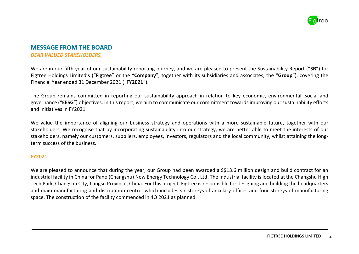

#### **MESSAGE FROM THE BOARD** *DEAR VALUED STAKEHOLDERS,*

We are in our fifth-year of our sustainability reporting journey, and we are pleased to present the Sustainability Report ("**SR**") for Figtree Holdings Limited's ("**Figtree**" or the "**Company**", together with its subsidiaries and associates, the "**Group**"), covering the Financial Year ended 31 December 2021 ("**FY2021**").

The Group remains committed in reporting our sustainability approach in relation to key economic, environmental, social and governance ("**EESG**") objectives. In this report, we aim to communicate our commitment towardsimproving our sustainability efforts and initiatives in FY2021.

We value the importance of aligning our business strategy and operations with a more sustainable future, together with our stakeholders. We recognise that by incorporating sustainability into our strategy, we are better able to meet the interests of our stakeholders, namely our customers, suppliers, employees, investors, regulators and the local community, whilst attaining the longterm success of the business.

#### **FY2021**

We are pleased to announce that during the year, our Group had been awarded a S\$13.6 million design and build contract for an industrial facility in China for Pano (Changshu) New Energy Technology Co., Ltd. The industrial facility is located at the Changshu High Tech Park, Changshu City, Jiangsu Province, China. For this project, Figtree is responsible for designing and building the headquarters and main manufacturing and distribution centre, which includes six storeys of ancillary offices and four storeys of manufacturing space. The construction of the facility commenced in 4Q 2021 as planned.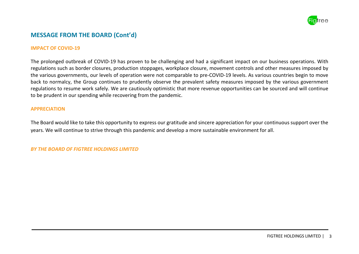

### **MESSAGE FROM THE BOARD (Cont'd)**

#### **IMPACT OF COVID-19**

The prolonged outbreak of COVID-19 has proven to be challenging and had a significant impact on our business operations. With regulations such as border closures, production stoppages, workplace closure, movement controls and other measures imposed by the various governments, our levels of operation were not comparable to pre-COVID-19 levels. As various countries begin to move back to normalcy, the Group continues to prudently observe the prevalent safety measures imposed by the various government regulations to resume work safely. We are cautiously optimistic that more revenue opportunities can be sourced and will continue to be prudent in our spending while recovering from the pandemic.

#### **APPRECIATION**

The Board would like to take this opportunity to express our gratitude and sincere appreciation for your continuous support over the years. We will continue to strive through this pandemic and develop a more sustainable environment for all.

#### *BY THE BOARD OF FIGTREE HOLDINGS LIMITED*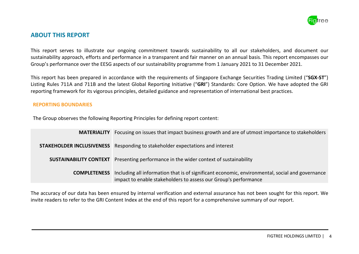

### **ABOUT THIS REPORT**

This report serves to illustrate our ongoing commitment towards sustainability to all our stakeholders, and document our sustainability approach, efforts and performance in a transparent and fair manner on an annual basis. This report encompasses our Group's performance over the EESG aspects of our sustainability programme from 1 January 2021 to 31 December 2021.

This report has been prepared in accordance with the requirements of Singapore Exchange Securities Trading Limited ("**SGX-ST**") Listing Rules 711A and 711B and the latest Global Reporting Initiative ("**GRI**") Standards: Core Option. We have adopted the GRI reporting framework for its vigorous principles, detailed guidance and representation of international best practices.

#### **REPORTING BOUNDARIES**

The Group observes the following Reporting Principles for defining report content:

| <b>MATERIALITY</b>  | Focusing on issues that impact business growth and are of utmost importance to stakeholders                                                                        |
|---------------------|--------------------------------------------------------------------------------------------------------------------------------------------------------------------|
|                     | <b>STAKEHOLDER INCLUSIVENESS</b> Responding to stakeholder expectations and interest                                                                               |
|                     | <b>SUSTAINABILITY CONTEXT</b> Presenting performance in the wider context of sustainability                                                                        |
| <b>COMPLETENESS</b> | Including all information that is of significant economic, environmental, social and governance<br>impact to enable stakeholders to assess our Group's performance |

The accuracy of our data has been ensured by internal verification and external assurance has not been sought for this report. We invite readers to refer to the GRI Content Index at the end of this report for a comprehensive summary of our report.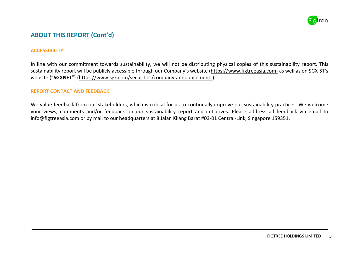

### **ABOUT THIS REPORT (Cont'd)**

#### **ACCESSIBILITY**

In line with our commitment towards sustainability, we will not be distributing physical copies of this sustainability report. This sustainability report will be publicly accessible through our Company's website (https://www.figtreeasia.com) as well as on SGX-ST's website ("**SGXNET**") [\(https://www.sgx.com/securities/company-announcements\)](https://www.sgx.com/securities/company-announcements).

#### **REPORT CONTACT AND FEEDBACK**

We value feedback from our stakeholders, which is critical for us to continually improve our sustainability practices. We welcome your views, comments and/or feedback on our sustainability report and initiatives. Please address all feedback via email to [info@figtreeasia.com](mailto:info@figtreeasia.com) or by mail to our headquarters at 8 Jalan Kilang Barat #03-01 Central-Link, Singapore 159351.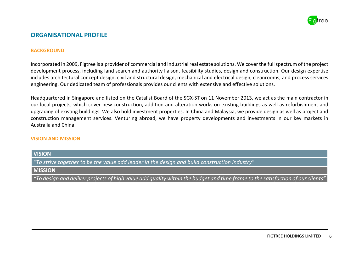

### **ORGANISATIONAL PROFILE**

#### **BACKGROUND**

Incorporated in 2009, Figtree is a provider of commercial and industrial real estate solutions. We cover the full spectrum of the project development process, including land search and authority liaison, feasibility studies, design and construction. Our design expertise includes architectural concept design, civil and structural design, mechanical and electrical design, cleanrooms, and process services engineering. Our dedicated team of professionals provides our clients with extensive and effective solutions.

Headquartered in Singapore and listed on the Catalist Board of the SGX-ST on 11 November 2013, we act as the main contractor in our local projects, which cover new construction, addition and alteration works on existing buildings as well as refurbishment and upgrading of existing buildings. We also hold investment properties. In China and Malaysia, we provide design as well as project and construction management services. Venturing abroad, we have property developments and investments in our key markets in Australia and China.

#### **VISION AND MISSION**

**VISION** *"To strive together to be the value add leader in the design and build construction industry"* **MISSION**

*"To design and deliver projects of high value add quality within the budget and time frame to the satisfaction of our clients"*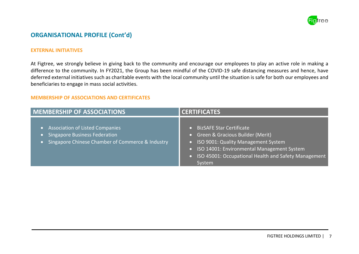

### **ORGANISATIONAL PROFILE (Cont'd)**

#### **EXTERNAL INITIATIVES**

At Figtree, we strongly believe in giving back to the community and encourage our employees to play an active role in making a difference to the community. In FY2021, the Group has been mindful of the COVID-19 safe distancing measures and hence, have deferred external initiatives such as charitable events with the local community until the situation is safe for both our employees and beneficiaries to engage in mass social activities.

#### **MEMBERSHIP OF ASSOCIATIONS AND CERTIFICATES**

| <b>MEMBERSHIP OF ASSOCIATIONS</b>                                                                                             | <b>CERTIFICATES</b>                                                                                                                                                                                                                |
|-------------------------------------------------------------------------------------------------------------------------------|------------------------------------------------------------------------------------------------------------------------------------------------------------------------------------------------------------------------------------|
| • Association of Listed Companies<br><b>Singapore Business Federation</b><br>Singapore Chinese Chamber of Commerce & Industry | <b>BizSAFE Star Certificate</b><br>• Green & Gracious Builder (Merit)<br>• ISO 9001: Quality Management System<br>• ISO 14001: Environmental Management System<br>• ISO 45001: Occupational Health and Safety Management<br>System |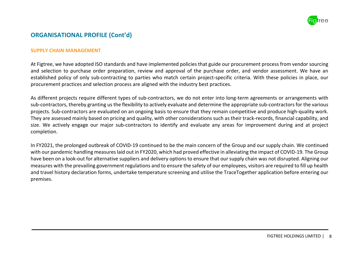

### **ORGANISATIONAL PROFILE (Cont'd)**

#### **SUPPLY CHAIN MANAGEMENT**

At Figtree, we have adopted ISO standards and have implemented policies that guide our procurement process from vendor sourcing and selection to purchase order preparation, review and approval of the purchase order, and vendor assessment. We have an established policy of only sub-contracting to parties who match certain project-specific criteria. With these policies in place, our procurement practices and selection process are aligned with the industry best practices.

As different projects require different types of sub-contractors, we do not enter into long-term agreements or arrangements with sub-contractors, thereby granting us the flexibility to actively evaluate and determine the appropriate sub-contractors for the various projects. Sub-contractors are evaluated on an ongoing basis to ensure that they remain competitive and produce high-quality work. They are assessed mainly based on pricing and quality, with other considerations such as their track-records, financial capability, and size. We actively engage our major sub-contractors to identify and evaluate any areas for improvement during and at project completion.

In FY2021, the prolonged outbreak of COVID-19 continued to be the main concern of the Group and our supply chain. We continued with our pandemic handling measures laid out in FY2020, which had proved effective in alleviating the impact of COVID-19. The Group have been on a look-out for alternative suppliers and delivery options to ensure that our supply chain was not disrupted. Aligning our measures with the prevailing government regulations and to ensure the safety of our employees, visitors are required to fill up health and travel history declaration forms, undertake temperature screening and utilise the TraceTogether application before entering our premises.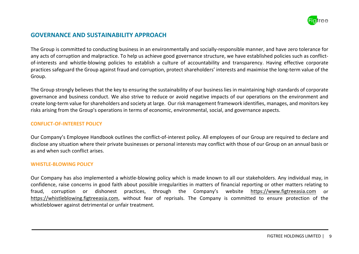

### **GOVERNANCE AND SUSTAINABILITY APPROACH**

The Group is committed to conducting business in an environmentally and socially-responsible manner, and have zero tolerance for any acts of corruption and malpractice. To help us achieve good governance structure, we have established policies such as conflictof-interests and whistle-blowing policies to establish a culture of accountability and transparency. Having effective corporate practices safeguard the Group against fraud and corruption, protect shareholders' interests and maximise the long-term value of the Group.

The Group strongly believes that the key to ensuring the sustainability of our business lies in maintaining high standards of corporate governance and business conduct. We also strive to reduce or avoid negative impacts of our operations on the environment and create long-term value for shareholders and society at large. Our risk management framework identifies, manages, and monitors key risks arising from the Group's operations in terms of economic, environmental, social, and governance aspects.

#### **CONFLICT-OF-INTEREST POLICY**

Our Company's Employee Handbook outlines the conflict-of-interest policy. All employees of our Group are required to declare and disclose any situation where their private businesses or personal interests may conflict with those of our Group on an annual basis or as and when such conflict arises.

#### **WHISTLE-BLOWING POLICY**

Our Company has also implemented a whistle-blowing policy which is made known to all our stakeholders. Any individual may, in confidence, raise concerns in good faith about possible irregularities in matters of financial reporting or other matters relating to fraud, corruption or dishonest practices, through the Company's website https://www.figtreeasia.com or [https://whistleblowing.figtreeasia.com,](https://whistleblowing.figtreeasia.com/) without fear of reprisals. The Company is committed to ensure protection of the whistleblower against detrimental or unfair treatment.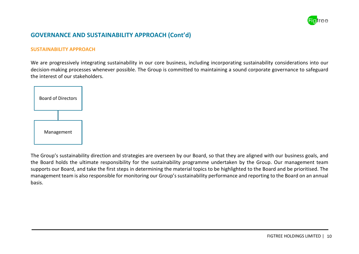

### **GOVERNANCE AND SUSTAINABILITY APPROACH (Cont'd)**

#### **SUSTAINABILITY APPROACH**

We are progressively integrating sustainability in our core business, including incorporating sustainability considerations into our decision-making processes whenever possible. The Group is committed to maintaining a sound corporate governance to safeguard the interest of our stakeholders.



The Group's sustainability direction and strategies are overseen by our Board, so that they are aligned with our business goals, and the Board holds the ultimate responsibility for the sustainability programme undertaken by the Group. Our management team supports our Board, and take the first steps in determining the material topics to be highlighted to the Board and be prioritised. The management team is also responsible for monitoring our Group's sustainability performance and reporting to the Board on an annual basis.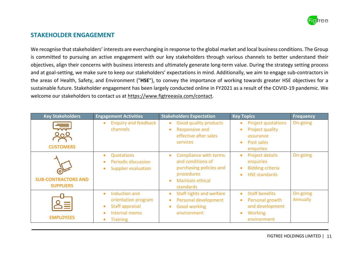

### **STAKEHOLDER ENGAGEMENT**

We recognise that stakeholders' interests are everchanging in response to the global market and local business conditions. The Group is committed to pursuing an active engagement with our key stakeholders through various channels to better understand their objectives, align their concerns with business interests and ultimately generate long-term value. During the strategy setting process and at goal-setting, we make sure to keep our stakeholders' expectations in mind. Additionally, we aim to engage sub-contractors in the areas of Health, Safety, and Environment ("**HSE**"), to convey the importance of working towards greater HSE objectives for a sustainable future. Stakeholder engagement has been largely conducted online in FY2021 as a result of the COVID-19 pandemic. We welcome our stakeholders to contact us at [https://www.figtreeasia.com/contact.](https://www.figtreeasia.com/contact)

| <b>Key Stakeholders</b>                        | <b>Engagement Activities</b>                                                                                                                    | <b>Stakeholders Expectation</b>                                                                                                                 | <b>Key Topics</b>                                                                                                                   | <b>Frequency</b>     |
|------------------------------------------------|-------------------------------------------------------------------------------------------------------------------------------------------------|-------------------------------------------------------------------------------------------------------------------------------------------------|-------------------------------------------------------------------------------------------------------------------------------------|----------------------|
| <b>CUSTOMERS</b>                               | <b>Enquiry and feedback</b><br>channels                                                                                                         | <b>Good quality products</b><br>$\bullet$<br><b>Responsive and</b><br>effective after sales<br><b>services</b>                                  | <b>Project quotations</b><br>$\bullet$<br>Project quality<br>$\bullet$<br>assurance<br>Post sales<br>$\bullet$<br>enquiries         | On-going             |
| <b>SUB-CONTRACTORS AND</b><br><b>SUPPLIERS</b> | <b>Quotations</b><br>$\bullet$<br><b>Periodic discussion</b><br><b>Supplier evaluation</b><br>$\bullet$                                         | <b>Compliance with terms</b><br>$\bullet$<br>and conditions of<br>purchasing policies and<br>procedures<br><b>Maintain ethical</b><br>standards | <b>Project details</b><br>$\bullet$<br>enquiries<br><b>Bidding criteria</b><br>$\bullet$<br><b>HSE standards</b><br>$\bullet$       | On-going             |
| <b>EMPLOYEES</b>                               | Induction and<br>$\bullet$<br>orientation program<br>Staff appraisal<br>$\bullet$<br>Internal memo<br>$\bullet$<br><b>Training</b><br>$\bullet$ | Staff rights and welfare<br>$\bullet$<br>Personal development<br><b>Good working</b><br>environment                                             | <b>Staff benefits</b><br>$\bullet$<br>Personal growth<br>$\bullet$<br>and development<br><b>Working</b><br>$\bullet$<br>environment | On-going<br>Annually |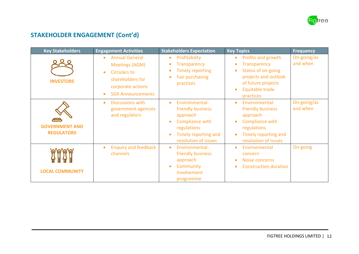

### **STAKEHOLDER ENGAGEMENT (Cont'd)**

| <b>Key Stakeholders</b>                    | <b>Engagement Activities</b>                                                                                                                                                      | <b>Stakeholders Expectation</b>                                                                                                                | <b>Key Topics</b>                                                                                                                                                                                 | <b>Frequency</b>        |
|--------------------------------------------|-----------------------------------------------------------------------------------------------------------------------------------------------------------------------------------|------------------------------------------------------------------------------------------------------------------------------------------------|---------------------------------------------------------------------------------------------------------------------------------------------------------------------------------------------------|-------------------------|
| <b>INVESTORS</b>                           | <b>Annual General</b><br>$\bullet$<br><b>Meetings (AGM)</b><br><b>Circulars to</b><br>$\bullet$<br>shareholders for<br>corporate actions<br><b>SGX Announcements</b><br>$\bullet$ | Profitability<br>$\bullet$<br><b>Transparency</b><br><b>Timely reporting</b><br>$\bullet$<br><b>Fair purchasing</b><br>$\bullet$<br>practices  | Profits and growth<br>$\bullet$<br><b>Transparency</b><br>$\bullet$<br>Status of on-going<br>$\bullet$<br>projects and outlook<br>of future projects<br>Equitable trade<br>$\bullet$<br>practices | On-going/as<br>and when |
| <b>GOVERNMENT AND</b><br><b>REGULATORS</b> | <b>Discussions with</b><br>$\bullet$<br>government agencies<br>and regulators                                                                                                     | Environmental-<br>$\bullet$<br>friendly business<br>approach<br>Compliance with<br>regulations<br>Timely reporting and<br>resolution of issues | Environmental-<br>$\bullet$<br>friendly business<br>approach<br>Compliance with<br>$\bullet$<br>regulations<br>Timely reporting and<br>$\bullet$<br>resolution of issues                          | On-going/as<br>and when |
| <b>LOCAL COMMUNITY</b>                     | <b>Enquiry and feedback</b><br>$\bullet$<br>channels                                                                                                                              | Environmental-<br>$\bullet$<br>friendly business<br>approach<br>Community<br>Involvement<br>programme                                          | Environmental<br>$\bullet$<br>concern<br>Noise concerns<br>$\bullet$<br><b>Construction duration</b><br>$\bullet$                                                                                 | On-going                |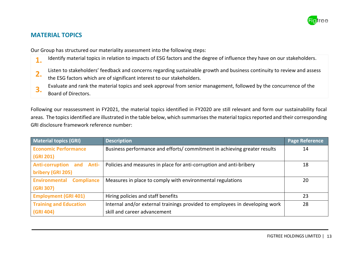

### **MATERIAL TOPICS**

Our Group has structured our materiality assessment into the following steps:

- 1. Identify material topics in relation to impacts of ESG factors and the degree of influence they have on our stakeholders.
- **2.** Listen to stakeholders' feedback and concerns regarding sustainable growth and business continuity to review and assess
- the ESG factors which are of significant interest to our stakeholders.
- **3.** Evaluate and rank the material topics and seek approval from senior management, followed by the concurrence of the
	- Board of Directors.

Following our reassessment in FY2021, the material topics identified in FY2020 are still relevant and form our sustainability focal areas. The topics identified are illustrated in the table below, which summarises the material topics reported and their corresponding GRI disclosure framework reference number:

| <b>Material topics (GRI)</b>       | <b>Description</b>                                                          | <b>Page Reference</b> |
|------------------------------------|-----------------------------------------------------------------------------|-----------------------|
| <b>Economic Performance</b>        | Business performance and efforts/commitment in achieving greater results    | 14                    |
| (GRI 201)                          |                                                                             |                       |
| <b>Anti-corruption and Anti-</b>   | Policies and measures in place for anti-corruption and anti-bribery         | 18                    |
| bribery (GRI 205)                  |                                                                             |                       |
| Environmental<br><b>Compliance</b> | Measures in place to comply with environmental regulations                  | 20                    |
| (GRI 307)                          |                                                                             |                       |
| <b>Employment (GRI 401)</b>        | Hiring policies and staff benefits                                          | 23                    |
| <b>Training and Education</b>      | Internal and/or external trainings provided to employees in developing work | 28                    |
| (GRI 404)                          | skill and career advancement                                                |                       |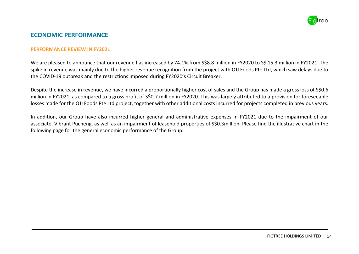

### **ECONOMIC PERFORMANCE**

#### **PERFORMANCE REVIEW IN FY2021**

We are pleased to announce that our revenue has increased by 74.1% from S\$8.8 million in FY2020 to S\$ 15.3 million in FY2021. The spike in revenue was mainly due to the higher revenue recognition from the project with OJJ Foods Pte Ltd, which saw delays due to the COVID-19 outbreak and the restrictions imposed during FY2020's Circuit Breaker.

Despite the increase in revenue, we have incurred a proportionally higher cost of sales and the Group has made a gross loss of S\$0.6 million in FY2021, as compared to a gross profit of S\$0.7 million in FY2020. This was largely attributed to a provision for foreseeable losses made for the OJJ Foods Pte Ltd project, together with other additional costs incurred for projects completed in previous years.

In addition, our Group have also incurred higher general and administrative expenses in FY2021 due to the impairment of our associate, Vibrant Pucheng, as well as an impairment of leasehold properties of S\$0.3million. Please find the illustrative chart in the following page for the general economic performance of the Group.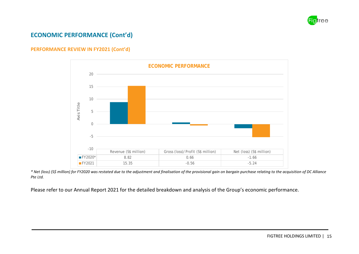

### **ECONOMIC PERFORMANCE (Cont'd)**

#### **PERFORMANCE REVIEW IN FY2021 (Cont'd)**



*\* Net (loss) (S\$ million) for FY2020 was restated due to the adjustment and finalisation of the provisional gain on bargain purchase relating to the acquisition of DC Alliance Pte Ltd.*

Please refer to our Annual Report 2021 for the detailed breakdown and analysis of the Group's economic performance.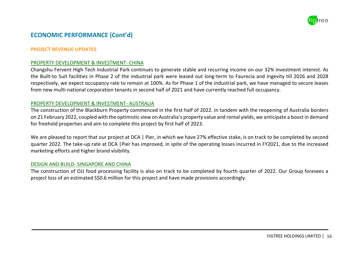

### **ECONOMIC PERFORMANCE (Cont'd)**

#### **PROJECT REVENUE UPDATES**

#### PROPERTY DEVELOPMENT & INVESTMENT- CHINA

Changshu Fervent High Tech Industrial Park continues to generate stable and recurring income on our 32% investment interest. As the Built-to Suit facilities in Phase 2 of the industrial park were leased out long-term to Faurecia and Ingevity till 2026 and 2028 respectively, we expect occupancy rate to remain at 100%. As for Phase 1 of the industrial park, we have managed to secure leases from new multi-national corporation tenants in second half of 2021 and have currently reached full occupancy.

#### PROPERTY DEVELOPMENT & INVESTMENT- AUSTRALIA

The construction of the Blackburn Property commenced in the first half of 2022. In tandem with the reopening of Australia borders on 21 February 2022, coupled with the optimistic view on Australia's property value and rental yields, we anticipate a boost in demand for freehold properties and aim to complete this project by first half of 2023.

We are pleased to report that our project at DCA | Pier, in which we have 27% effective stake, is on track to be completed by second quarter 2022. The take-up rate at DCA |Pier has improved, in spite of the operating losses incurred in FY2021, due to the increased marketing efforts and higher brand visibility.

#### DESIGN AND BUILD- SINGAPORE AND CHINA

The construction of OJJ food processing facility is also on track to be completed by fourth quarter of 2022. Our Group foresees a project loss of an estimated S\$0.6 million for this project and have made provisions accordingly.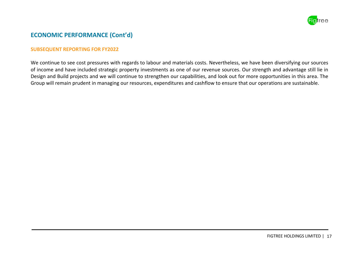

### **ECONOMIC PERFORMANCE (Cont'd)**

#### **SUBSEQUENT REPORTING FOR FY2022**

We continue to see cost pressures with regards to labour and materials costs. Nevertheless, we have been diversifying our sources of income and have included strategic property investments as one of our revenue sources. Our strength and advantage still lie in Design and Build projects and we will continue to strengthen our capabilities, and look out for more opportunities in this area. The Group will remain prudent in managing our resources, expenditures and cashflow to ensure that our operations are sustainable.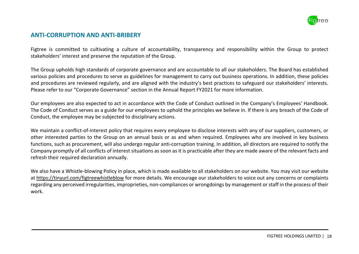

### **ANTI-CORRUPTION AND ANTI-BRIBERY**

Figtree is committed to cultivating a culture of accountability, transparency and responsibility within the Group to protect stakeholders' interest and preserve the reputation of the Group.

The Group upholds high standards of corporate governance and are accountable to all our stakeholders. The Board has established various policies and procedures to serve as guidelines for management to carry out business operations. In addition, these policies and procedures are reviewed regularly, and are aligned with the industry's best practices to safeguard our stakeholders' interests. Please refer to our "Corporate Governance" section in the Annual Report FY2021 for more information.

Our employees are also expected to act in accordance with the Code of Conduct outlined in the Company's Employees' Handbook. The Code of Conduct serves as a guide for our employees to uphold the principles we believe in. If there is any breach of the Code of Conduct, the employee may be subjected to disciplinary actions.

We maintain a conflict-of-interest policy that requires every employee to disclose interests with any of our suppliers, customers, or other interested parties to the Group on an annual basis or as and when required. Employees who are involved in key business functions, such as procurement, will also undergo regular anti-corruption training. In addition, all directors are required to notify the Company promptly of all conflicts of interest situations as soon as it is practicable after they are made aware of the relevant facts and refresh their required declaration annually.

We also have a Whistle-blowing Policy in place, which is made available to all stakeholders on our website. You may visit our website at https://tinyurl.com/figtreewhistleblow for more details. We encourage our stakeholders to voice out any concerns or complaints regarding any perceived irregularities, improprieties, non-compliances or wrongdoings by management or staff in the process of their work.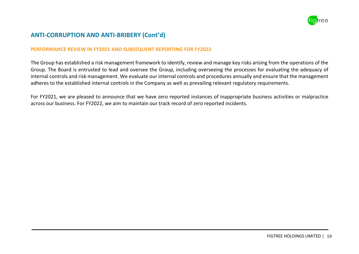

### **ANTI-CORRUPTION AND ANTI-BRIBERY (Cont'd)**

#### **PERFORMANCE REVIEW IN FY2021 AND SUBSEQUENT REPORTING FOR FY2022**

The Group has established a risk management framework to identify, review and manage key risks arising from the operations of the Group. The Board is entrusted to lead and oversee the Group, including overseeing the processes for evaluating the adequacy of internal controls and risk management. We evaluate our internal controls and procedures annually and ensure that the management adheres to the established internal controls in the Company as well as prevailing relevant regulatory requirements.

For FY2021, we are pleased to announce that we have zero reported instances of inappropriate business activities or malpractice across our business. For FY2022, we aim to maintain our track record of zero reported incidents.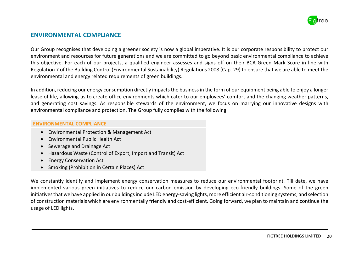

### **ENVIRONMENTAL COMPLIANCE**

Our Group recognises that developing a greener society is now a global imperative. It is our corporate responsibility to protect our environment and resources for future generations and we are committed to go beyond basic environmental compliance to achieve this objective. For each of our projects, a qualified engineer assesses and signs off on their BCA Green Mark Score in line with Regulation 7 of the Building Control (Environmental Sustainability) Regulations 2008 (Cap. 29) to ensure that we are able to meet the environmental and energy related requirements of green buildings.

In addition, reducing our energy consumption directly impacts the businessin the form of our equipment being able to enjoy a longer lease of life, allowing us to create office environments which cater to our employees' comfort and the changing weather patterns, and generating cost savings. As responsible stewards of the environment, we focus on marrying our innovative designs with environmental compliance and protection. The Group fully complies with the following:

#### **ENVIRONMENTAL COMPLIANCE**

- Environmental Protection & Management Act
- Environmental Public Health Act
- Sewerage and Drainage Act
- Hazardous Waste (Control of Export, Import and Transit) Act
- Energy Conservation Act
- Smoking (Prohibition in Certain Places) Act

We constantly identify and implement energy conservation measures to reduce our environmental footprint. Till date, we have implemented various green initiatives to reduce our carbon emission by developing eco-friendly buildings. Some of the green initiatives that we have applied in our buildings include LED energy-saving lights, more efficient air-conditioning systems, and selection of construction materials which are environmentally friendly and cost-efficient. Going forward, we plan to maintain and continue the usage of LED lights.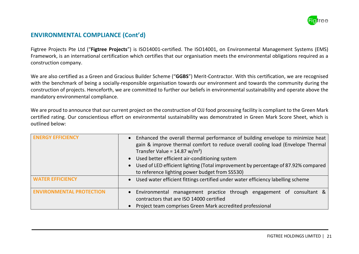

### **ENVIRONMENTAL COMPLIANCE (Cont'd)**

Figtree Projects Pte Ltd ("**Figtree Projects**") is ISO14001-certified. The ISO14001, on Environmental Management Systems (EMS) Framework, is an international certification which certifies that our organisation meets the environmental obligations required as a construction company.

We are also certified as a Green and Gracious Builder Scheme ("**GGBS**") Merit-Contractor. With this certification, we are recognised with the benchmark of being a socially-responsible organisation towards our environment and towards the community during the construction of projects. Henceforth, we are committed to further our beliefs in environmental sustainability and operate above the mandatory environmental compliance.

We are proud to announce that our current project on the construction of OJJ food processing facility is compliant to the Green Mark certified rating. Our conscientious effort on environmental sustainability was demonstrated in Green Mark Score Sheet, which is outlined below:

| <b>ENERGY EFFICIENCY</b>        | Enhanced the overall thermal performance of building envelope to minimize heat<br>gain & improve thermal comfort to reduce overall cooling load (Envelope Thermal<br>Transfer Value = $14.87 \text{ w/m}^2$ )<br>• Used better efficient air-conditioning system<br>• Used of LED efficient lighting (Total improvement by percentage of 87.92% compared<br>to reference lighting power budget from SS530) |  |  |
|---------------------------------|------------------------------------------------------------------------------------------------------------------------------------------------------------------------------------------------------------------------------------------------------------------------------------------------------------------------------------------------------------------------------------------------------------|--|--|
| <b>WATER FEFICIENCY</b>         | • Used water efficient fittings certified under water efficiency labelling scheme                                                                                                                                                                                                                                                                                                                          |  |  |
| <b>ENVIRONMENTAL PROTECTION</b> | management practice through engagement of consultant &<br>• Environmental<br>contractors that are ISO 14000 certified<br>Project team comprises Green Mark accredited professional                                                                                                                                                                                                                         |  |  |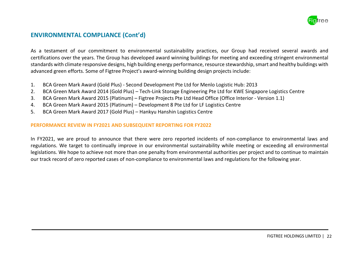

### **ENVIRONMENTAL COMPLIANCE (Cont'd)**

As a testament of our commitment to environmental sustainability practices, our Group had received several awards and certifications over the years. The Group has developed award winning buildings for meeting and exceeding stringent environmental standards with climate responsive designs, high building energy performance, resource stewardship, smart and healthy buildings with advanced green efforts. Some of Figtree Project's award-winning building design projects include:

- 1. BCA Green Mark Award (Gold Plus) Second Development Pte Ltd for Menlo Logistic Hub: 2013
- 2. BCA Green Mark Award 2014 (Gold Plus) Tech-Link Storage Engineering Pte Ltd for KWE Singapore Logistics Centre
- 3. BCA Green Mark Award 2015 (Platinum) Figtree Projects Pte Ltd Head Office (Office Interior Version 1.1)
- 4. BCA Green Mark Award 2015 (Platinum) Development 8 Pte Ltd for LF Logistics Centre
- 5. BCA Green Mark Award 2017 (Gold Plus) Hankyu Hanshin Logistics Centre

#### **PERFORMANCE REVIEW IN FY2021 AND SUBSEQUENT REPORTING FOR FY2022**

In FY2021, we are proud to announce that there were zero reported incidents of non-compliance to environmental laws and regulations. We target to continually improve in our environmental sustainability while meeting or exceeding all environmental legislations. We hope to achieve not more than one penalty from environmental authorities per project and to continue to maintain our track record of zero reported cases of non-compliance to environmental laws and regulations for the following year.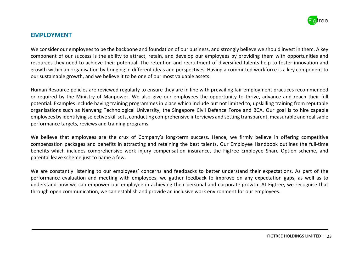

#### **EMPLOYMENT**

We consider our employees to be the backbone and foundation of our business, and strongly believe we should invest in them. A key component of our success is the ability to attract, retain, and develop our employees by providing them with opportunities and resources they need to achieve their potential. The retention and recruitment of diversified talents help to foster innovation and growth within an organisation by bringing in different ideas and perspectives. Having a committed workforce is a key component to our sustainable growth, and we believe it to be one of our most valuable assets.

Human Resource policies are reviewed regularly to ensure they are in line with prevailing fair employment practices recommended or required by the Ministry of Manpower. We also give our employees the opportunity to thrive, advance and reach their full potential. Examples include having training programmes in place which include but not limited to, upskilling training from reputable organisations such as Nanyang Technological University, the Singapore Civil Defence Force and BCA. Our goal is to hire capable employees by identifying selective skill sets, conducting comprehensive interviews and setting transparent, measurable and realisable performance targets, reviews and training programs.

We believe that employees are the crux of Company's long-term success. Hence, we firmly believe in offering competitive compensation packages and benefits in attracting and retaining the best talents. Our Employee Handbook outlines the full-time benefits which includes comprehensive work injury compensation insurance, the Figtree Employee Share Option scheme, and parental leave scheme just to name a few.

We are constantly listening to our employees' concerns and feedbacks to better understand their expectations. As part of the performance evaluation and meeting with employees, we gather feedback to improve on any expectation gaps, as well as to understand how we can empower our employee in achieving their personal and corporate growth. At Figtree, we recognise that through open communication, we can establish and provide an inclusive work environment for our employees.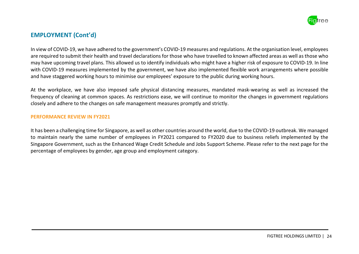

In view of COVID-19, we have adhered to the government's COVID-19 measures and regulations. At the organisation level, employees are required to submit their health and travel declarations for those who have travelled to known affected areas as well as those who may have upcoming travel plans. This allowed us to identify individuals who might have a higher risk of exposure to COVID-19. In line with COVID-19 measures implemented by the government, we have also implemented flexible work arrangements where possible and have staggered working hours to minimise our employees' exposure to the public during working hours.

At the workplace, we have also imposed safe physical distancing measures, mandated mask-wearing as well as increased the frequency of cleaning at common spaces. As restrictions ease, we will continue to monitor the changes in government regulations closely and adhere to the changes on safe management measures promptly and strictly.

#### **PERFORMANCE REVIEW IN FY2021**

It has been a challenging time for Singapore, as well as other countries around the world, due to the COVID-19 outbreak. We managed to maintain nearly the same number of employees in FY2021 compared to FY2020 due to business reliefs implemented by the Singapore Government, such as the Enhanced Wage Credit Schedule and Jobs Support Scheme. Please refer to the next page for the percentage of employees by gender, age group and employment category.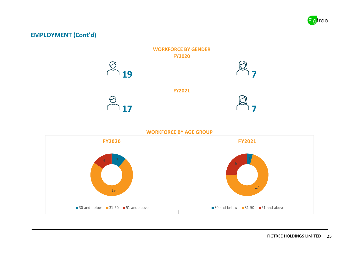



**WORKFORCE BY AGE GROUP**

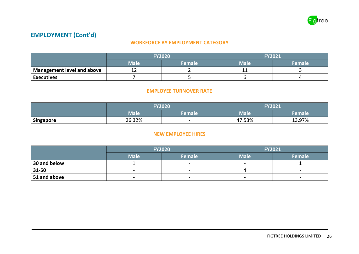

#### **WORKFORCE BY EMPLOYMENT CATEGORY**

|                                   | <b>FY2020</b><br>Male<br><b>Female</b> |  | <b>FY2021</b> |        |
|-----------------------------------|----------------------------------------|--|---------------|--------|
|                                   |                                        |  | <b>Male</b>   | Female |
| <b>Management level and above</b> | --                                     |  | --            |        |
| <b>Executives</b>                 |                                        |  |               |        |

#### **EMPLOYEE TURNOVER RATE**

|           | <b>FY2020</b><br><b>Male</b><br>Female |                          | <b>FY2021</b> |        |
|-----------|----------------------------------------|--------------------------|---------------|--------|
|           |                                        |                          | Male          | Female |
| Singapore | 26.32%                                 | $\overline{\phantom{0}}$ | 47.53%        | 13.97% |

#### **NEW EMPLOYEE HIRES**

|              | <b>FY2020</b>                                        |        | <b>FY2021</b>            |                          |  |
|--------------|------------------------------------------------------|--------|--------------------------|--------------------------|--|
|              | <b>Male</b>                                          | Female | <b>Male</b>              | Female                   |  |
| 30 and below |                                                      |        | $\overline{\phantom{0}}$ |                          |  |
| 31-50        |                                                      |        |                          | -                        |  |
| 51 and above | $\overline{\phantom{0}}$<br>$\overline{\phantom{0}}$ |        | $\overline{\phantom{0}}$ | $\overline{\phantom{0}}$ |  |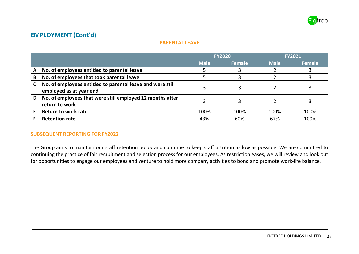

#### **PARENTAL LEAVE**

|              |                                                                                       | <b>FY2020</b> |        | <b>FY2021</b> |               |
|--------------|---------------------------------------------------------------------------------------|---------------|--------|---------------|---------------|
|              |                                                                                       | <b>Male</b>   | Female | <b>Male</b>   | <b>Female</b> |
| A            | No. of employees entitled to parental leave                                           |               |        |               |               |
| B            | No. of employees that took parental leave                                             |               |        |               |               |
| $\mathsf{C}$ | No. of employees entitled to parental leave and were still<br>employed as at year end |               |        |               |               |
| D            | No. of employees that were still employed 12 months after<br>return to work           |               |        |               |               |
| E            | <b>Return to work rate</b>                                                            | 100%          | 100%   | 100%          | 100%          |
|              | <b>Retention rate</b>                                                                 | 43%           | 60%    | 67%           | 100%          |

#### **SUBSEQUENT REPORTING FOR FY2022**

The Group aims to maintain our staff retention policy and continue to keep staff attrition as low as possible. We are committed to continuing the practice of fair recruitment and selection process for our employees. As restriction eases, we will review and look out for opportunities to engage our employees and venture to hold more company activities to bond and promote work-life balance.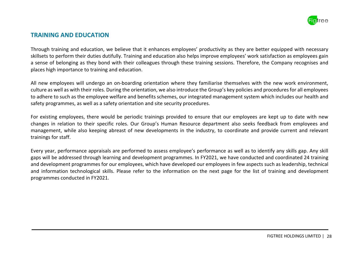

### **TRAINING AND EDUCATION**

Through training and education, we believe that it enhances employees' productivity as they are better equipped with necessary skillsets to perform their duties dutifully. Training and education also helps improve employees' work satisfaction as employees gain a sense of belonging as they bond with their colleagues through these training sessions. Therefore, the Company recognises and places high importance to training and education.

All new employees will undergo an on-boarding orientation where they familiarise themselves with the new work environment, culture as well as with their roles. During the orientation, we also introduce the Group's key policies and proceduresfor all employees to adhere to such as the employee welfare and benefits schemes, our integrated management system which includes our health and safety programmes, as well as a safety orientation and site security procedures.

For existing employees, there would be periodic trainings provided to ensure that our employees are kept up to date with new changes in relation to their specific roles. Our Group's Human Resource department also seeks feedback from employees and management, while also keeping abreast of new developments in the industry, to coordinate and provide current and relevant trainings for staff.

Every year, performance appraisals are performed to assess employee's performance as well as to identify any skills gap. Any skill gaps will be addressed through learning and development programmes. In FY2021, we have conducted and coordinated 24 training and development programmes for our employees, which have developed our employees in few aspects such as leadership, technical and information technological skills. Please refer to the information on the next page for the list of training and development programmes conducted in FY2021.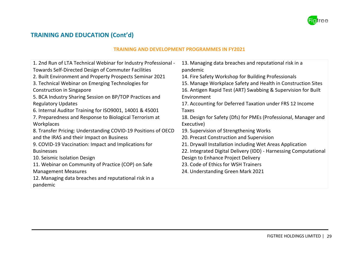

### **TRAINING AND EDUCATION (Cont'd)**

#### **TRAINING AND DEVELOPMENT PROGRAMMES IN FY2021**

| 1. 2nd Run of LTA Technical Webinar for Industry Professional -<br><b>Towards Self-Directed Design of Commuter Facilities</b> | 13. Managing data breaches and reputational risk in a<br>pandemic |
|-------------------------------------------------------------------------------------------------------------------------------|-------------------------------------------------------------------|
| 2. Built Environment and Property Prospects Seminar 2021                                                                      | 14. Fire Safety Workshop for Building Professionals               |
| 3. Technical Webinar on Emerging Technologies for                                                                             | 15. Manage Workplace Safety and Health in Construction Sites      |
| <b>Construction in Singapore</b>                                                                                              | 16. Antigen Rapid Test (ART) Swabbing & Supervision for Built     |
| 5. BCA Industry Sharing Session on BP/TOP Practices and                                                                       | Environment                                                       |
| <b>Regulatory Updates</b>                                                                                                     | 17. Accounting for Deferred Taxation under FRS 12 Income          |
| 6. Internal Auditor Training for ISO9001, 14001 & 45001                                                                       | Taxes                                                             |
| 7. Preparedness and Response to Biological Terrorism at                                                                       | 18. Design for Safety (Dfs) for PMEs (Professional, Manager and   |
| Workplaces                                                                                                                    | Executive)                                                        |
| 8. Transfer Pricing: Understanding COVID-19 Positions of OECD                                                                 | 19. Supervision of Strengthening Works                            |
| and the IRAS and their Impact on Business                                                                                     | 20. Precast Construction and Supervision                          |
| 9. COVID-19 Vaccination: Impact and Implications for                                                                          | 21. Drywall Installation including Wet Areas Application          |
| <b>Businesses</b>                                                                                                             | 22. Integrated Digital Delivery (IDD) - Harnessing Computational  |
| 10. Seismic Isolation Design                                                                                                  | Design to Enhance Project Delivery                                |
| 11. Webinar on Community of Practice (COP) on Safe                                                                            | 23. Code of Ethics for WSH Trainers                               |
| <b>Management Measures</b>                                                                                                    | 24. Understanding Green Mark 2021                                 |
| 12. Managing data breaches and reputational risk in a                                                                         |                                                                   |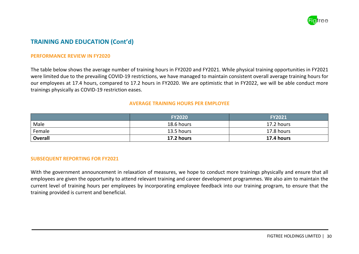

### **TRAINING AND EDUCATION (Cont'd)**

#### **PERFORMANCE REVIEW IN FY2020**

The table below shows the average number of training hours in FY2020 and FY2021. While physical training opportunities in FY2021 were limited due to the prevailing COVID-19 restrictions, we have managed to maintain consistent overall average training hours for our employees at 17.4 hours, compared to 17.2 hours in FY2020. We are optimistic that in FY2022, we will be able conduct more trainings physically as COVID-19 restriction eases.

#### **AVERAGE TRAINING HOURS PER EMPLOYEE**

|                | <b>FY2020</b> | <b>FY2021</b> |
|----------------|---------------|---------------|
| Male           | 18.6 hours    | 17.2 hours    |
| Female         | 13.5 hours    | 17.8 hours    |
| <b>Overall</b> | 17.2 hours    | 17.4 hours    |

#### **SUBSEQUENT REPORTING FOR FY2021**

With the government announcement in relaxation of measures, we hope to conduct more trainings physically and ensure that all employees are given the opportunity to attend relevant training and career development programmes. We also aim to maintain the current level of training hours per employees by incorporating employee feedback into our training program, to ensure that the training provided is current and beneficial.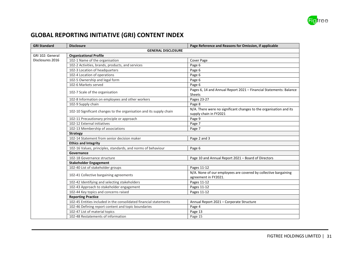

### **GLOBAL REPORTING INITIATIVE (GRI) CONTENT INDEX**

| <b>GRI Standard</b>       | <b>Disclosure</b>                                                   | Page Reference and Reasons for Omission, if applicable                                       |  |
|---------------------------|---------------------------------------------------------------------|----------------------------------------------------------------------------------------------|--|
| <b>GENERAL DISCLOSURE</b> |                                                                     |                                                                                              |  |
| GRI 102: General          | <b>Organizational Profile</b>                                       |                                                                                              |  |
| Disclosures 2016          | 102-1 Name of the organisation                                      | Cover Page                                                                                   |  |
|                           | 102-2 Activities, brands, products, and services                    | Page 6                                                                                       |  |
|                           | 102-3 Location of headquarters                                      | Page 6                                                                                       |  |
|                           | 102-4 Location of operations                                        | Page 6                                                                                       |  |
|                           | 102-5 Ownership and legal form                                      | Page 6                                                                                       |  |
|                           | 102-6 Markets served                                                | Page 6                                                                                       |  |
|                           | 102-7 Scale of the organisation                                     | Pages 6, 14 and Annual Report 2021 - Financial Statements: Balance<br><b>Sheets</b>          |  |
|                           | 102-8 Information on employees and other workers                    | Pages 23-27                                                                                  |  |
|                           | 102-9 Supply chain                                                  | Page 8                                                                                       |  |
|                           | 102-10 Significant changes to the organisation and its supply chain | N/A. There were no significant changes to the organisation and its<br>supply chain in FY2021 |  |
|                           | 102-11 Precautionary principle or approach                          | Page 9                                                                                       |  |
|                           | 102-12 External initiatives                                         | Page 7                                                                                       |  |
|                           | 102-13 Membership of associations                                   | Page 7                                                                                       |  |
|                           | <b>Strategy</b>                                                     |                                                                                              |  |
|                           | 102-14 Statement from senior decision maker                         | Page 2 and 3                                                                                 |  |
|                           | <b>Ethics and Integrity</b>                                         |                                                                                              |  |
|                           | 102-16 Values, principles, standards, and norms of behaviour        | Page 6                                                                                       |  |
|                           | Governance                                                          |                                                                                              |  |
|                           | 102-18 Governance structure                                         | Page 10 and Annual Report 2021 - Board of Directors                                          |  |
|                           | <b>Stakeholder Engagement</b>                                       |                                                                                              |  |
|                           | 102-40 List of stakeholder groups                                   | Pages 11-12                                                                                  |  |
|                           | 102-41 Collective bargaining agreements                             | N/A. None of our employees are covered by collective bargaining<br>agreement in FY2021.      |  |
|                           | 102-42 Identifying and selecting stakeholders                       | Pages 11-12                                                                                  |  |
|                           | 102-43 Approach to stakeholder engagement                           | Pages 11-12                                                                                  |  |
|                           | 102-44 Key topics and concerns raised                               | Pages 11-12                                                                                  |  |
|                           | <b>Reporting Practice</b>                                           |                                                                                              |  |
|                           | 102-45 Entities included in the consolidated financial statements   | Annual Report 2021 - Corporate Structure                                                     |  |
|                           | 102-46 Defining report content and topic boundaries                 | Page 4                                                                                       |  |
|                           | 102-47 List of material topics                                      | Page 13                                                                                      |  |
|                           | 102-48 Restatements of information                                  | Page 15                                                                                      |  |